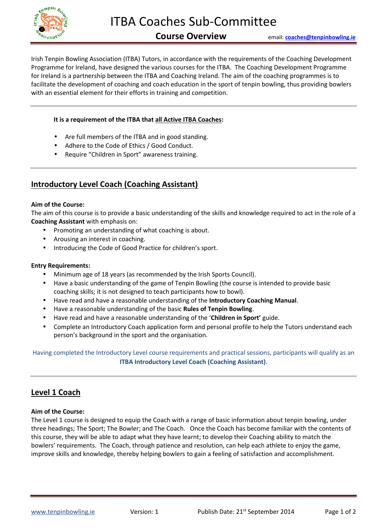

Irish Tenpin Bowling Association (ITBA) Tutors, in accordance with the requirements of the Coaching Development Programme for Ireland, have designed the various courses for the ITBA. The Coaching Development Programme for Ireland is a partnership between the ITBA and Coaching Ireland. The aim of the coaching programmes is to facilitate the development of coaching and coach education in the sport of tenpin bowling, thus providing bowlers with an essential element for their efforts in training and competition.

### **It is a requirement of the ITBA that all Active ITBA Coaches:**

- Are full members of the ITBA and in good standing.
- Adhere to the Code of Ethics / Good Conduct.
- Require "Children in Sport" awareness training.

# **Introductory Level Coach (Coaching Assistant)**

### **Aim of the Course:**

The aim of this course is to provide a basic understanding of the skills and knowledge required to act in the role of a **Coaching Assistant** with emphasis on:

- Promoting an understanding of what coaching is about.
- Arousing an interest in coaching.
- Introducing the Code of Good Practice for children's sport.

### **Entry Requirements:**

- Minimum age of 18 years (as recommended by the Irish Sports Council).
- Have a basic understanding of the game of Tenpin Bowling (the course is intended to provide basic coaching skills; it is not designed to teach participants how to bowl).
- Have read and have a reasonable understanding of the **Introductory Coaching Manual**.
- Have a reasonable understanding of the basic **Rules of Tenpin Bowling**.
- Have read and have a reasonable understanding of the '**Children in Sport'** guide.
- Complete an Introductory Coach application form and personal profile to help the Tutors understand each person's background in the sport and the organisation.

Having completed the Introductory Level course requirements and practical sessions, participants will qualify as an **ITBA Introductory Level Coach (Coaching Assistant)**.

# **Level 1 Coach**

### **Aim of the Course:**

The Level 1 course is designed to equip the Coach with a range of basic information about tenpin bowling, under three headings; The Sport; The Bowler; and The Coach. Once the Coach has become familiar with the contents of this course, they will be able to adapt what they have learnt; to develop their Coaching ability to match the bowlers' requirements. The Coach, through patience and resolution, can help each athlete to enjoy the game, improve skills and knowledge, thereby helping bowlers to gain a feeling of satisfaction and accomplishment.